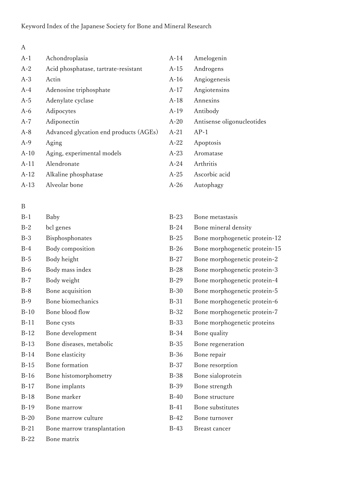|     | I |
|-----|---|
| ٧   |   |
| - - |   |

| $A-1$  | Achondroplasia                         | $A-14$ | Amelogenin                 |
|--------|----------------------------------------|--------|----------------------------|
| $A-2$  | Acid phosphatase, tartrate-resistant   | A-15   | Androgens                  |
| $A-3$  | Actin                                  | $A-16$ | Angiogenesis               |
| $A-4$  | Adenosine triphosphate                 | $A-17$ | Angiotensins               |
| $A-5$  | Adenylate cyclase                      | $A-18$ | Annexins                   |
| $A-6$  | Adipocytes                             | $A-19$ | Antibody                   |
| $A-7$  | Adiponectin                            | $A-20$ | Antisense oligonucleotides |
| $A-8$  | Advanced glycation end products (AGEs) | $A-21$ | $AP-1$                     |
| $A-9$  | Aging                                  | $A-22$ | Apoptosis                  |
| $A-10$ | Aging, experimental models             | $A-23$ | Aromatase                  |
| $A-11$ | Alendronate                            | $A-24$ | Arthritis                  |
| $A-12$ | Alkaline phosphatase                   | $A-25$ | Ascorbic acid              |
| $A-13$ | Alveolar bone                          | $A-26$ | Autophagy                  |

# B

| $B-1$  | Baby                        | $B-23$      | Bone metastasis               |
|--------|-----------------------------|-------------|-------------------------------|
| $B-2$  | bcl genes                   | $B-24$      | Bone mineral density          |
| $B-3$  | Bisphosphonates             | $B-25$      | Bone morphogenetic protein-12 |
| $B-4$  | Body composition            | $B-26$      | Bone morphogenetic protein-15 |
| $B-5$  | Body height                 | $B-27$      | Bone morphogenetic protein-2  |
| $B-6$  | Body mass index             | $B-28$      | Bone morphogenetic protein-3  |
| $B-7$  | Body weight                 | $B-29$      | Bone morphogenetic protein-4  |
| $B-8$  | Bone acquisition            | $B-30$      | Bone morphogenetic protein-5  |
| $B-9$  | Bone biomechanics           | $B-31$      | Bone morphogenetic protein-6  |
| $B-10$ | Bone blood flow             | $B-32$      | Bone morphogenetic protein-7  |
| $B-11$ | Bone cysts                  | $B-33$      | Bone morphogenetic proteins   |
| $B-12$ | Bone development            | $B-34$      | Bone quality                  |
| $B-13$ | Bone diseases, metabolic    | $B-35$      | Bone regeneration             |
| $B-14$ | Bone elasticity             | $B-36$      | Bone repair                   |
| $B-15$ | Bone formation              | $B-37$      | Bone resorption               |
| $B-16$ | Bone histomorphometry       | <b>B-38</b> | Bone sialoprotein             |
| $B-17$ | Bone implants               | <b>B-39</b> | Bone strength                 |
| $B-18$ | Bone marker                 | $B-40$      | Bone structure                |
| $B-19$ | Bone marrow                 | $B-41$      | Bone substitutes              |
| $B-20$ | Bone marrow culture         | $B-42$      | Bone turnover                 |
| $B-21$ | Bone marrow transplantation | $B-43$      | Breast cancer                 |
| $B-22$ | Bone matrix                 |             |                               |

| $B-23$ | Bone metastasis               |
|--------|-------------------------------|
| $B-24$ | Bone mineral density          |
| $B-25$ | Bone morphogenetic protein-12 |
| $B-26$ | Bone morphogenetic protein-15 |
| $B-27$ | Bone morphogenetic protein-2  |
| $B-28$ | Bone morphogenetic protein-3  |
| $B-29$ | Bone morphogenetic protein-4  |
| $B-30$ | Bone morphogenetic protein-5  |
| B-31   | Bone morphogenetic protein-6  |
| B-32   | Bone morphogenetic protein-7  |
| B-33   | Bone morphogenetic proteins   |
| B-34   | Bone quality                  |
| B-35   | Bone regeneration             |
| B-36   | Bone repair                   |
| B-37   | Bone resorption               |
| B-38   | Bone sialoprotein             |
| B-39   | Bone strength                 |
| $B-40$ | Bone structure                |
| B-41   | Bone substitutes              |
| B-42   | Bone turnover                 |
|        |                               |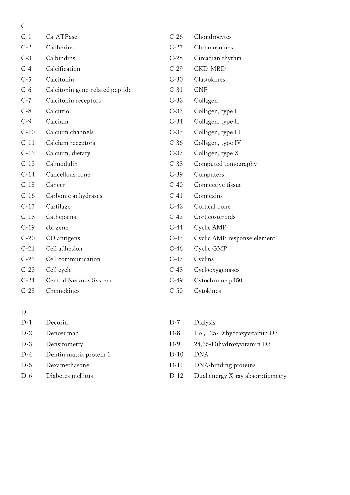| $\mathcal{C}$ |                                 |        |                             |
|---------------|---------------------------------|--------|-----------------------------|
| $C-1$         | Ca-ATPase                       | $C-26$ | Chondrocytes                |
| $C-2$         | Cadherins                       | $C-27$ | Chromosomes                 |
| $C-3$         | Calbindins                      | $C-28$ | Circadian rhythm            |
| $C-4$         | Calcification                   | $C-29$ | <b>CKD-MBD</b>              |
| $C-5$         | Calcitonin                      | $C-30$ | Clastokines                 |
| $C-6$         | Calcitonin gene-related peptide | $C-31$ | <b>CNP</b>                  |
| $C-7$         | Calcitonin receptors            | $C-32$ | Collagen                    |
| $C-8$         | Calcitriol                      | $C-33$ | Collagen, type I            |
| $C-9$         | Calcium                         | $C-34$ | Collagen, type II           |
| $C-10$        | Calcium channels                | $C-35$ | Collagen, type III          |
| $C-11$        | Calcium receptors               | $C-36$ | Collagen, type IV           |
| $C-12$        | Calcium, dietary                | $C-37$ | Collagen, type X            |
| $C-13$        | Calmodulin                      | $C-38$ | Computed tomography         |
| $C-14$        | Cancellous bone                 | $C-39$ | Computers                   |
| $C-15$        | Cancer                          | $C-40$ | Connective tissue           |
| $C-16$        | Carbonic anhydrases             | $C-41$ | Connexins                   |
| $C-17$        | Cartilage                       | $C-42$ | Cortical bone               |
| $C-18$        | Cathepsins                      | $C-43$ | Corticosteroids             |
| $C-19$        | cbl gene                        | $C-44$ | Cyclic AMP                  |
| $C-20$        | CD antigens                     | $C-45$ | Cyclic AMP response element |
| $C-21$        | Cell adhesion                   | $C-46$ | Cyclic GMP                  |
| $C-22$        | Cell communication              | $C-47$ | Cyclins                     |
| $C-23$        | Cell cycle                      | $C-48$ | Cyclooxygenases             |
| $C-24$        | <b>Central Nervous System</b>   | $C-49$ | Cytochrome p450             |
| $C-25$        | Chemokines                      | $C-50$ | Cytokines                   |
|               |                                 |        |                             |

#### D

|       | D-1 Decorin                 | $D-7$     | Dialy       |
|-------|-----------------------------|-----------|-------------|
| D-2   | Denosumab                   | $1)-8$    | $1\alpha$ , |
|       | D-3 Densitometry            | $D-9$     | 24,25       |
|       | D-4 Dentin matrix protein 1 | $D-10$    | DNA         |
| $D-5$ | Dexamethasone               | $D-11$    | DNA         |
|       | D-6 Diabetes mellitus       | D-12 Dual |             |

| $C-26$ | Chondrocytes             |
|--------|--------------------------|
| $C-27$ | Chromosomes              |
| $C-28$ | Circadian rhythm         |
| $C-29$ | <b>CKD-MBD</b>           |
| $C-30$ | Clastokines              |
| $C-31$ | <b>CNP</b>               |
| $C-32$ | Collagen                 |
| $C-33$ | Collagen, type I         |
| $C-34$ | Collagen, type II        |
| $C-35$ | Collagen, type III       |
| $C-36$ | Collagen, type IV        |
| $C-37$ | Collagen, type X         |
| $C-38$ | Computed tomography      |
| $C-39$ | Computers                |
| $C-40$ | Connective tissue        |
| $C-41$ | Connexins                |
| $C-42$ | Cortical bone            |
| $C-43$ | Corticosteroids          |
| $C-44$ | Cyclic AMP               |
| $C-45$ | Cyclic AMP response elem |
| $C-46$ | Cyclic GMP               |
| $C-47$ | Cyclins                  |
| $C-48$ | Cyclooxygenases          |
| $C-49$ | Cytochrome p450          |
| $C-50$ | Cytokines                |
|        |                          |

D-7 Dialysis D-8  $1\alpha$ , 25-Dihydroxyvitamin D3 D-9 24,25-Dihydroxyvitamin D3 D-11 DNA-binding proteins D-12 Dual energy X-ray absorptiometry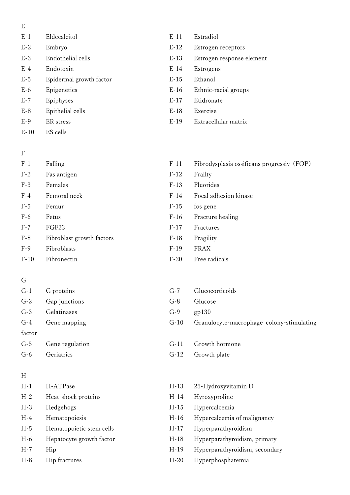- E
- E-1 Eldecalcitol E-11 Estradiol
- 
- 
- 
- E-5 Epidermal growth factor E-15 Ethanol
- 
- 
- E-8 Epithelial cells E-18 Exercise
- 
- E-10 ES cells

#### F

- 
- 
- 
- 
- 
- F-8 Fibroblast growth factors F-18 Fragility
- 
- 

## G

- G-2 Gap junctions G-8 Glucose G-3 Gelatinases G-9 gp130 factor
- 

## H

| $H-1$ | H-ATPase                 | $H-13$ | 25-Hydroxyvitamin D            |
|-------|--------------------------|--------|--------------------------------|
| $H-2$ | Heat-shock proteins      | $H-14$ | Hyroxyproline                  |
| $H-3$ | Hedgehogs                | $H-15$ | Hypercalcemia                  |
| $H-4$ | Hematopoiesis            | $H-16$ | Hypercalcemia of malignancy    |
| $H-5$ | Hematopoietic stem cells | $H-17$ | Hyperparathyroidism            |
| $H-6$ | Hepatocyte growth factor | $H-18$ | Hyperparathyroidism, primary   |
| $H-7$ | Hip                      | $H-19$ | Hyperparathyroidism, secondary |
| $H-8$ | Hip fractures            | $H-20$ | Hyperphosphatemia              |

- 
- E-2 Embryo E-12 Estrogen receptors
- E-3 Endothelial cells E-13 Estrogen response element
- E-4 Endotoxin E-14 Estrogens
	-
- E-6 Epigenetics E-16 Ethnic-racial groups
- E-7 Epiphyses E-17 Etidronate
	-
- E-9 ER stress E-19 Extracellular matrix
- F-1 Falling F-11 Fibrodysplasia ossificans progressiv (FOP)
- F-2 Fas antigen F-12 Frailty
- F-3 Females F-13 Fluorides
- F-4 Femoral neck F-14 Focal adhesion kinase
- F-5 Femur F-15 fos gene
- F-6 Fetus F-16 Fracture healing
- F-7 FGF23 F-17 Fractures
	-
- F-9 Fibroblasts F-19 FRAX
- F-10 Fibronectin F-20 Free radicals
- G-1 G proteins G-7 Glucocorticoids
	-
	-
- G-4 Gene mapping G-10 Granulocyte-macrophage colony-stimulating
- G-5 Gene regulation G-11 Growth hormone
- G-6 Geriatrics G-12 Growth plate
	-
	-
	-
	-
	-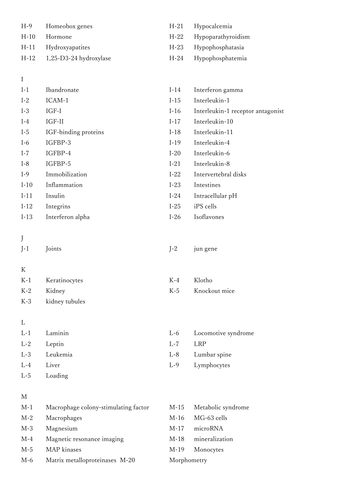| H-9  | Homeobox genes                | H-21 Hypocalcemia       |
|------|-------------------------------|-------------------------|
| H-10 | Hormone                       | H-22 Hypoparathyroidism |
|      | H-11 Hydroxyapatites          | H-23 Hypophosphatasia   |
|      | $H-12$ 1,25-D3-24 hydroxylase | H-24 Hypophosphatemia   |

# I

| Ibandronate          | $I-14$ | Interferon gamma                  |
|----------------------|--------|-----------------------------------|
| ICAM-1               | $I-15$ | Interleukin-1                     |
| $IGF-I$              | $I-16$ | Interleukin-1 receptor antagonist |
| $IGF-II$             | $I-17$ | Interleukin-10                    |
| IGF-binding proteins | $I-18$ | Interleukin-11                    |
| IGFBP-3              | $I-19$ | Interleukin-4                     |
| IGFBP-4              | $I-20$ | Interleukin-6                     |
| IGFBP-5              | $I-21$ | Interleukin-8                     |
| Immobilization       | $I-22$ | Intervertebral disks              |
| Inflammation         | $I-23$ | Intestines                        |
| Insulin              | $I-24$ | Intracellular pH                  |
| Integrins            | $I-25$ | iPS cells                         |
| Interferon alpha     | $I-26$ | Isoflavones                       |
|                      |        |                                   |

# J

| J-1 | Joints | J-2 jun gene |
|-----|--------|--------------|
|     |        |              |

# K

|            | K-1 Keratinocytes  | K-4 Klotho |                   |
|------------|--------------------|------------|-------------------|
| K-2 Kidney |                    |            | K-5 Knockout mice |
|            | K-3 kidney tubules |            |                   |

# L

| $L-1$ | Laminin  |         | L-6 Locomotive syndrome |
|-------|----------|---------|-------------------------|
| $L-2$ | Leptin   | $L - 7$ | LRP                     |
| $L-3$ | Leukemia |         | L-8 Lumbar spine        |
| $L-4$ | Liver    |         | L-9 Lymphocytes         |
| $L-5$ | Loading  |         |                         |

#### M

| M-1   | Macrophage colony-stimulating factor | M-15        | Metabolic syndrome |
|-------|--------------------------------------|-------------|--------------------|
| $M-2$ | Macrophages                          | M-16        | MG-63 cells        |
| $M-3$ | Magnesium                            | M-17        | microRNA           |
| M-4   | Magnetic resonance imaging           | M-18        | mineralization     |
| $M-5$ | MAP kinases                          | M-19        | Monocytes          |
| M-6   | Matrix metalloproteinases M-20       | Morphometry |                    |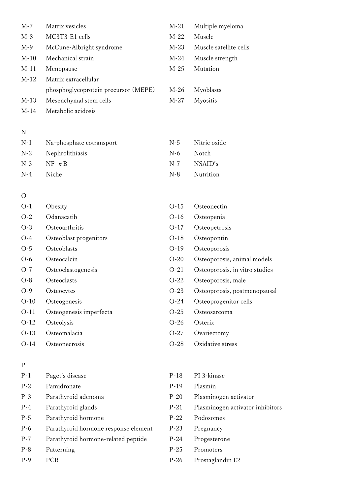| $M-7$  | Matrix vesicles                      | $M-21$ | Multiple myeloma       |
|--------|--------------------------------------|--------|------------------------|
| $M-8$  | MC3T3-E1 cells                       | $M-22$ | Muscle                 |
| $M-9$  | McCune-Albright syndrome             | $M-23$ | Muscle satellite cells |
| $M-10$ | Mechanical strain                    | $M-24$ | Muscle strength        |
| $M-11$ | Menopause                            | $M-25$ | Mutation               |
| $M-12$ | Matrix extracellular                 |        |                        |
|        | phosphoglycoprotein precursor (MEPE) | $M-26$ | Myoblasts              |
| $M-13$ | Mesenchymal stem cells               | $M-27$ | <b>Myositis</b>        |
| $M-14$ | Metabolic acidosis                   |        |                        |

#### N

| $N-1$ | Na-phosphate cotransport | N-5   | Nitric oxide |
|-------|--------------------------|-------|--------------|
|       | N-2 Nephrolithiasis      | $N-6$ | – Notch      |
|       | $N-3$ $NF - \kappa B$    | $N-7$ | NSAID's      |
| $N-4$ | Niche –                  | $N-8$ | Nutrition    |

#### O

| $O-1$  | Obesity                 | $O-15$ | Osteonectin                    |
|--------|-------------------------|--------|--------------------------------|
| $O-2$  | Odanacatib              | $O-16$ | Osteopenia                     |
| $O-3$  | Osteoarthritis          | $O-17$ | Osteopetrosis                  |
| $O-4$  | Osteoblast progenitors  | $O-18$ | Osteopontin                    |
| $O-5$  | Osteoblasts             | $O-19$ | Osteoporosis                   |
| $O-6$  | Osteocalcin             | $O-20$ | Osteoporosis, animal models    |
| $O-7$  | Osteoclastogenesis      | $O-21$ | Osteoporosis, in vitro studies |
| $O-8$  | Osteoclasts             | $O-22$ | Osteoporosis, male             |
| $O-9$  | Osteocytes              | $O-23$ | Osteoporosis, postmenopausal   |
| $O-10$ | Osteogenesis            | $O-24$ | Osteoprogenitor cells          |
| $O-11$ | Osteogenesis imperfecta | $O-25$ | Osteosarcoma                   |
| $O-12$ | Osteolysis              | $O-26$ | Osterix                        |
| $O-13$ | Osteomalacia            | $O-27$ | Ovariectomy                    |
| $O-14$ | Osteonecrosis           | $O-28$ | Oxidative stress               |

## P

| $P-1$ | Paget's disease                      | P. |
|-------|--------------------------------------|----|
| $P-2$ | Pamidronate                          | P  |
| $P-3$ | Parathyroid adenoma                  | P. |
| $P-4$ | Parathyroid glands                   | P. |
| $P-5$ | Parathyroid hormone                  | P. |
| $P-6$ | Parathyroid hormone response element | P. |
| $P-7$ | Parathyroid hormone-related peptide  | р. |
| $P-8$ | Patterning                           | р. |
| $P-9$ | PCR                                  | р. |

#### -18 PI 3-kinase

#### -19 Plasmin

- -20 Plasminogen activator
- -21 Plasminogen activator inhibitors
- P-22 Podosomes
- -23 Pregnancy
- -24 Progesterone
- -25 Promoters
- -26 Prostaglandin E2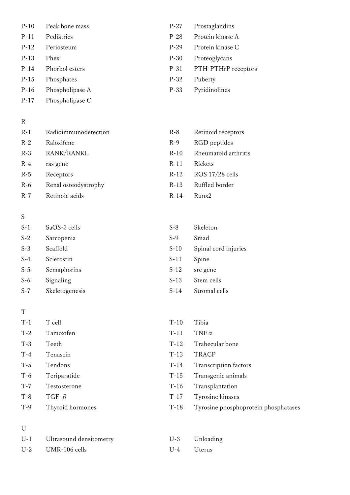- P-10 Peak bone mass P-27 Prostaglandins
- 
- 
- 
- 
- P-15 Phosphates P-32 Puberty
- P-16 Phospholipase A P-33 Pyridinolines
- P-17 Phospholipase C

#### R

- R-1 Radioimmunodetection R-8 Retinoid receptors R-2 Raloxifene R-9 RGD peptides R-3 RANK/RANKL R-10 Rheumatoid arthritis R-4 ras gene R-11 Rickets R-5 Receptors R-12 ROS 17/28 cells
- R-6 Renal osteodystrophy R-13 Ruffled border
- R-7 Retinoic acids R-14 Runx2

#### S

- S-1 SaOS-2 cells S-8 Skeleton S-2 Sarcopenia S-9 Smad S-4 Sclerostin S-11 Spine
- 
- S-7 Skeletogenesis S-14 Stromal cells

#### T

T-1 T cell Tibia T-2 Tamoxifen T-11 TNF $\alpha$ T-3 Teeth T-12 Trabecular bone T-4 Tenascin T-13 TRACP T-5 Tendons T-14 Transcription factors T-6 Teriparatide T-15 Transgenic animals T-7 Testosterone T-16 Transplantation  $T-8$  TGF- $\beta$  T-17 Tyrosine kinases T-9 Thyroid hormones T-18 Tyrosine phosphoprotein phosphatases

#### U

| U-1 Ultrasound densitometry |            | U-3 Unloading |
|-----------------------------|------------|---------------|
| $U-2$ UMR-106 cells         | U-4 Uterus |               |

- 
- P-11 Pediatrics P-28 Protein kinase A
- P-12 Periosteum P-29 Protein kinase C
- P-13 Phex P-30 Proteoglycans
- P-14 Phorbol esters P-31 PTH-PTHrP receptors
	-
	-
	-
	-
	-
	-
	-
	-

# S-3 Scaffold S-10 Spinal cord injuries S-5 Semaphorins S-12 src gene S-6 Signaling S-13 Stem cells